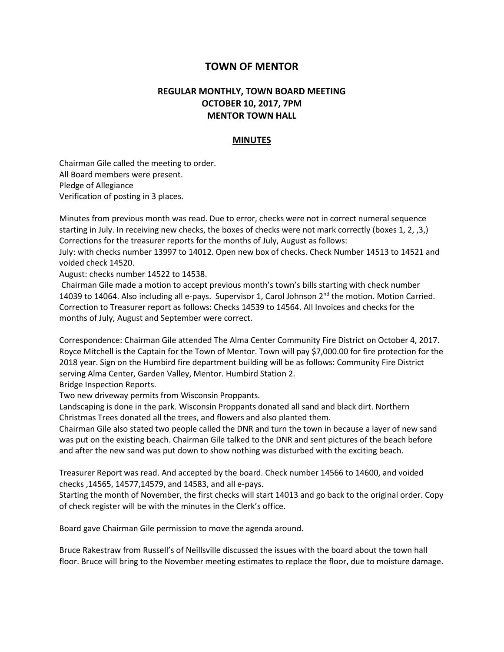## **TOWN OF MENTOR**

## **REGULAR MONTHLY, TOWN BOARD MEETING OCTOBER 10, 2017, 7PM MENTOR TOWN HALL**

## **MINUTES**

Chairman Gile called the meeting to order. All Board members were present. Pledge of Allegiance Verification of posting in 3 places.

Minutes from previous month was read. Due to error, checks were not in correct numeral sequence starting in July. In receiving new checks, the boxes of checks were not mark correctly (boxes 1, 2, ,3,) Corrections for the treasurer reports for the months of July, August as follows:

July: with checks number 13997 to 14012. Open new box of checks. Check Number 14513 to 14521 and voided check 14520.

August: checks number 14522 to 14538.

Chairman Gile made a motion to accept previous month's town's bills starting with check number 14039 to 14064. Also including all e-pays. Supervisor 1, Carol Johnson 2<sup>nd</sup> the motion. Motion Carried. Correction to Treasurer report as follows: Checks 14539 to 14564. All Invoices and checks for the months of July, August and September were correct.

Correspondence: Chairman Gile attended The Alma Center Community Fire District on October 4, 2017. Royce Mitchell is the Captain for the Town of Mentor. Town will pay \$7,000.00 for fire protection for the 2018 year. Sign on the Humbird fire department building will be as follows: Community Fire District serving Alma Center, Garden Valley, Mentor. Humbird Station 2.

Bridge Inspection Reports.

Two new driveway permits from Wisconsin Proppants.

Landscaping is done in the park. Wisconsin Proppants donated all sand and black dirt. Northern Christmas Trees donated all the trees, and flowers and also planted them.

Chairman Gile also stated two people called the DNR and turn the town in because a layer of new sand was put on the existing beach. Chairman Gile talked to the DNR and sent pictures of the beach before and after the new sand was put down to show nothing was disturbed with the exciting beach.

Treasurer Report was read. And accepted by the board. Check number 14566 to 14600, and voided checks ,14565, 14577,14579, and 14583, and all e-pays.

Starting the month of November, the first checks will start 14013 and go back to the original order. Copy of check register will be with the minutes in the Clerk's office.

Board gave Chairman Gile permission to move the agenda around.

Bruce Rakestraw from Russell's of Neillsville discussed the issues with the board about the town hall floor. Bruce will bring to the November meeting estimates to replace the floor, due to moisture damage.